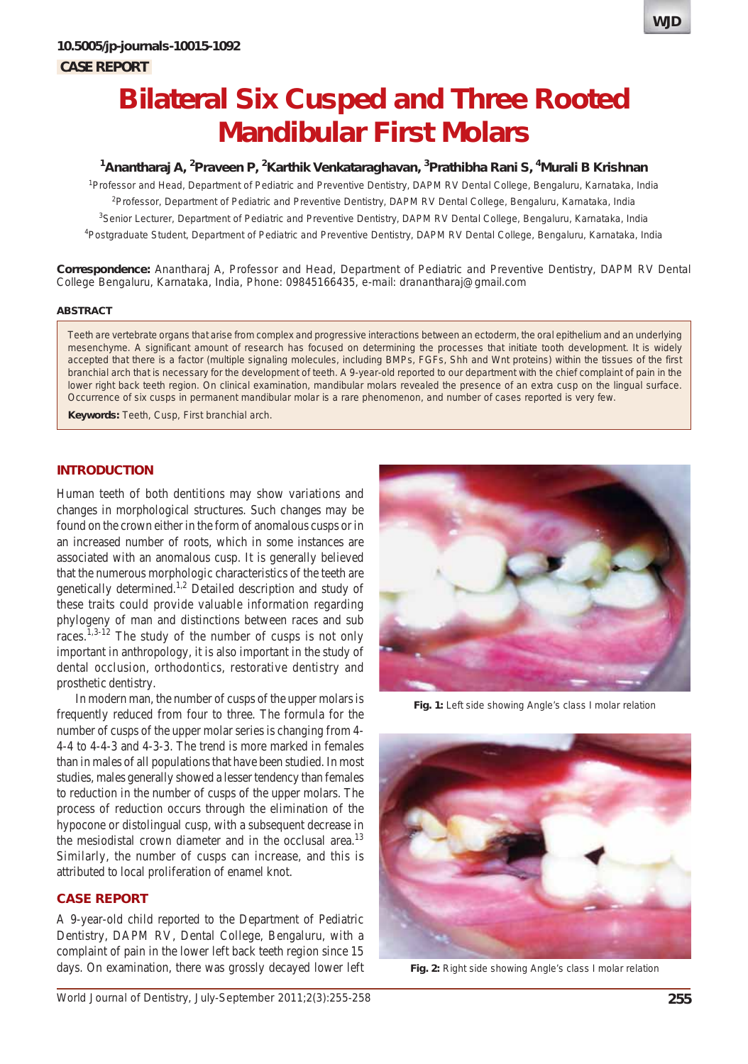

# <sup>1</sup>Anantharaj A, <sup>2</sup>Praveen P, <sup>2</sup>Karthik Venkataraghavan, <sup>3</sup>Prathibha Rani S, <sup>4</sup>Murali B Krishnan

<sup>1</sup>Professor and Head, Department of Pediatric and Preventive Dentistry, DAPM RV Dental College, Bengaluru, Karnataka, India 2 Professor, Department of Pediatric and Preventive Dentistry, DAPM RV Dental College, Bengaluru, Karnataka, India <sup>3</sup>Senior Lecturer, Department of Pediatric and Preventive Dentistry, DAPM RV Dental College, Bengaluru, Karnataka, India 4 Postgraduate Student, Department of Pediatric and Preventive Dentistry, DAPM RV Dental College, Bengaluru, Karnataka, India

**Correspondence:** Anantharaj A, Professor and Head, Department of Pediatric and Preventive Dentistry, DAPM RV Dental College Bengaluru, Karnataka, India, Phone: 09845166435, e-mail: dranantharaj@gmail.com

#### **ABSTRACT**

Teeth are vertebrate organs that arise from complex and progressive interactions between an ectoderm, the oral epithelium and an underlying mesenchyme. A significant amount of research has focused on determining the processes that initiate tooth development. It is widely accepted that there is a factor (multiple signaling molecules, including BMPs, FGFs, Shh and Wnt proteins) within the tissues of the first branchial arch that is necessary for the development of teeth. A 9-year-old reported to our department with the chief complaint of pain in the lower right back teeth region. On clinical examination, mandibular molars revealed the presence of an extra cusp on the lingual surface. Occurrence of six cusps in permanent mandibular molar is a rare phenomenon, and number of cases reported is very few.

**Keywords:** Teeth, Cusp, First branchial arch.

## **INTRODUCTION**

Human teeth of both dentitions may show variations and changes in morphological structures. Such changes may be found on the crown either in the form of anomalous cusps or in an increased number of roots, which in some instances are associated with an anomalous cusp. It is generally believed that the numerous morphologic characteristics of the teeth are genetically determined.<sup>1,2</sup> Detailed description and study of these traits could provide valuable information regarding phylogeny of man and distinctions between races and sub races.1,3-12 The study of the number of cusps is not only important in anthropology, it is also important in the study of dental occlusion, orthodontics, restorative dentistry and prosthetic dentistry.

In modern man, the number of cusps of the upper molars is frequently reduced from four to three. The formula for the number of cusps of the upper molar series is changing from 4- 4-4 to 4-4-3 and 4-3-3. The trend is more marked in females than in males of all populations that have been studied. In most studies, males generally showed a lesser tendency than females to reduction in the number of cusps of the upper molars. The process of reduction occurs through the elimination of the hypocone or distolingual cusp, with a subsequent decrease in the mesiodistal crown diameter and in the occlusal area.<sup>13</sup> Similarly, the number of cusps can increase, and this is attributed to local proliferation of enamel knot.

## **CASE REPORT**

A 9-year-old child reported to the Department of Pediatric Dentistry, DAPM RV, Dental College, Bengaluru, with a complaint of pain in the lower left back teeth region since 15 days. On examination, there was grossly decayed lower left



**Fig. 1:** Left side showing Angle's class I molar relation



**Fig. 2:** Right side showing Angle's class I molar relation

**WJD**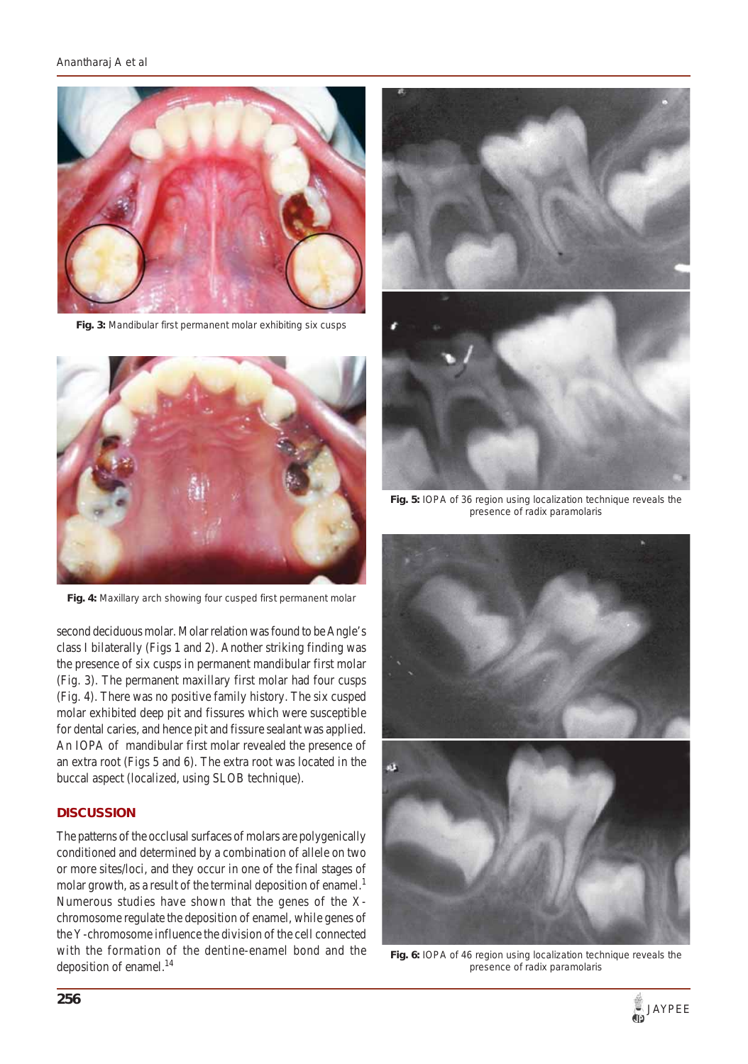

**Fig. 3:** Mandibular first permanent molar exhibiting six cusps



**Fig. 4:** Maxillary arch showing four cusped first permanent molar

second deciduous molar. Molar relation was found to be Angle's class I bilaterally (Figs 1 and 2). Another striking finding was the presence of six cusps in permanent mandibular first molar (Fig. 3). The permanent maxillary first molar had four cusps (Fig. 4). There was no positive family history. The six cusped molar exhibited deep pit and fissures which were susceptible for dental caries, and hence pit and fissure sealant was applied. An IOPA of mandibular first molar revealed the presence of an extra root (Figs 5 and 6). The extra root was located in the buccal aspect (localized, using SLOB technique).

## **DISCUSSION**

The patterns of the occlusal surfaces of molars are polygenically conditioned and determined by a combination of allele on two or more sites/loci, and they occur in one of the final stages of molar growth, as a result of the terminal deposition of enamel.<sup>1</sup> Numerous studies have shown that the genes of the Xchromosome regulate the deposition of enamel, while genes of the Y-chromosome influence the division of the cell connected with the formation of the dentine-enamel bond and the deposition of enamel.<sup>14</sup>



**Fig. 5:** IOPA of 36 region using localization technique reveals the presence of radix paramolaris



**Fig. 6:** IOPA of 46 region using localization technique reveals the presence of radix paramolaris

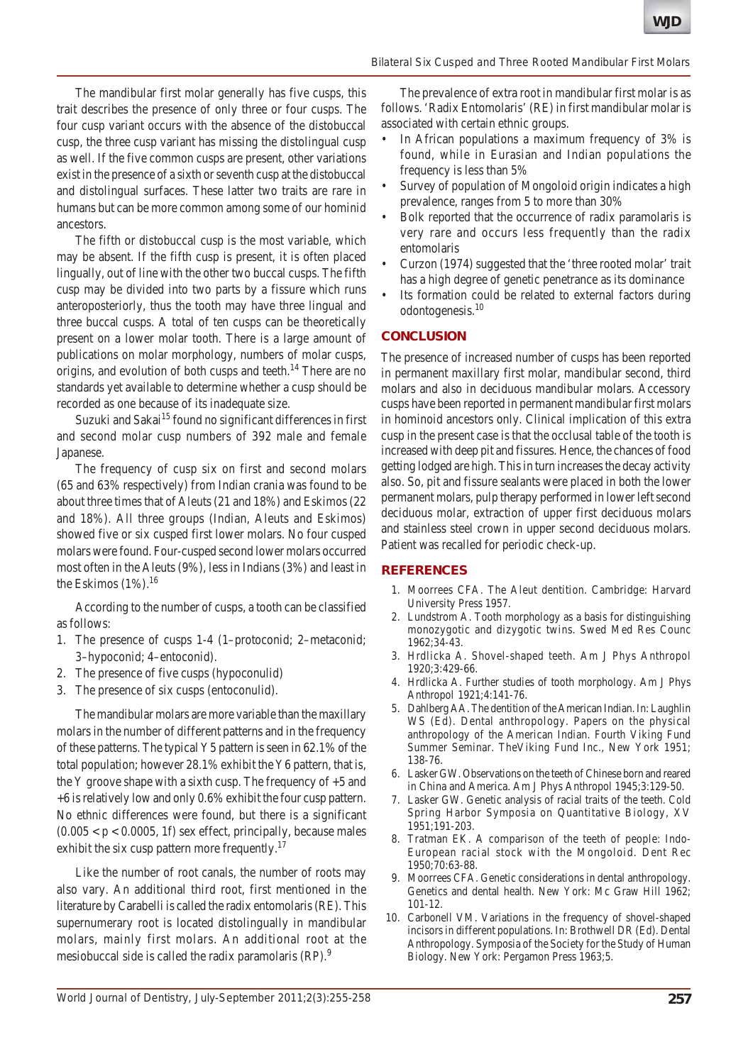#### *Bilateral Six Cusped and Three Rooted Mandibular First Molars*

The mandibular first molar generally has five cusps, this trait describes the presence of only three or four cusps. The four cusp variant occurs with the absence of the distobuccal cusp, the three cusp variant has missing the distolingual cusp as well. If the five common cusps are present, other variations exist in the presence of a sixth or seventh cusp at the distobuccal and distolingual surfaces. These latter two traits are rare in humans but can be more common among some of our hominid ancestors.

The fifth or distobuccal cusp is the most variable, which may be absent. If the fifth cusp is present, it is often placed lingually, out of line with the other two buccal cusps. The fifth cusp may be divided into two parts by a fissure which runs anteroposteriorly, thus the tooth may have three lingual and three buccal cusps. A total of ten cusps can be theoretically present on a lower molar tooth. There is a large amount of publications on molar morphology, numbers of molar cusps, origins, and evolution of both cusps and teeth.<sup>14</sup> There are no standards yet available to determine whether a cusp should be recorded as one because of its inadequate size.

Suzuki and Sakai<sup>15</sup> found no significant differences in first and second molar cusp numbers of 392 male and female Japanese.

The frequency of cusp six on first and second molars (65 and 63% respectively) from Indian crania was found to be about three times that of Aleuts (21 and 18%) and Eskimos (22 and 18%). All three groups (Indian, Aleuts and Eskimos) showed five or six cusped first lower molars. No four cusped molars were found. Four-cusped second lower molars occurred most often in the Aleuts (9%), less in Indians (3%) and least in the Eskimos  $(1\%)$ .<sup>16</sup>

According to the number of cusps, a tooth can be classified as follows:

- 1. The presence of cusps 1-4 (1–protoconid; 2–metaconid; 3–hypoconid; 4–entoconid).
- 2. The presence of five cusps (hypoconulid)
- 3. The presence of six cusps (entoconulid).

The mandibular molars are more variable than the maxillary molars in the number of different patterns and in the frequency of these patterns. The typical Y5 pattern is seen in 62.1% of the total population; however 28.1% exhibit the Y6 pattern, that is, the Y groove shape with a sixth cusp. The frequency of  $+5$  and +6 is relatively low and only 0.6% exhibit the four cusp pattern. No ethnic differences were found, but there is a significant  $(0.005 < p < 0.0005, 1f)$  sex effect, principally, because males exhibit the six cusp pattern more frequently.<sup>17</sup>

Like the number of root canals, the number of roots may also vary. An additional third root, first mentioned in the literature by Carabelli is called the radix entomolaris (RE). This supernumerary root is located distolingually in mandibular molars, mainly first molars. An additional root at the mesiobuccal side is called the radix paramolaris (RP).<sup>9</sup>

The prevalence of extra root in mandibular first molar is as follows. 'Radix Entomolaris' (RE) in first mandibular molar is associated with certain ethnic groups.

- In African populations a maximum frequency of 3% is found, while in Eurasian and Indian populations the frequency is less than 5%
- Survey of population of Mongoloid origin indicates a high prevalence, ranges from 5 to more than 30%
- Bolk reported that the occurrence of radix paramolaris is very rare and occurs less frequently than the radix entomolaris
- Curzon (1974) suggested that the 'three rooted molar' trait has a high degree of genetic penetrance as its dominance
- Its formation could be related to external factors during odontogenesis.10

## **CONCLUSION**

The presence of increased number of cusps has been reported in permanent maxillary first molar, mandibular second, third molars and also in deciduous mandibular molars. Accessory cusps have been reported in permanent mandibular first molars in hominoid ancestors only. Clinical implication of this extra cusp in the present case is that the occlusal table of the tooth is increased with deep pit and fissures. Hence, the chances of food getting lodged are high. This in turn increases the decay activity also. So, pit and fissure sealants were placed in both the lower permanent molars, pulp therapy performed in lower left second deciduous molar, extraction of upper first deciduous molars and stainless steel crown in upper second deciduous molars. Patient was recalled for periodic check-up.

## **REFERENCES**

- 1. Moorrees CFA. The Aleut dentition. Cambridge: Harvard University Press 1957.
- 2. Lundstrom A. Tooth morphology as a basis for distinguishing monozygotic and dizygotic twins. Swed Med Res Counc 1962;34-43.
- 3. Hrdlicka A. Shovel-shaped teeth. Am J Phys Anthropol 1920;3:429-66.
- 4. Hrdlicka A. Further studies of tooth morphology. Am J Phys Anthropol 1921;4:141-76.
- 5. Dahlberg AA. The dentition of the American Indian. In: Laughlin WS (Ed). Dental anthropology. Papers on the physical anthropology of the American Indian. Fourth Viking Fund Summer Seminar. TheViking Fund Inc., New York 1951; 138-76.
- 6. Lasker GW. Observations on the teeth of Chinese born and reared in China and America. Am J Phys Anthropol 1945;3:129-50.
- 7. Lasker GW. Genetic analysis of racial traits of the teeth. Cold Spring Harbor Symposia on Quantitative Biology, XV 1951;191-203.
- 8. Tratman EK. A comparison of the teeth of people: Indo-European racial stock with the Mongoloid. Dent Rec 1950;70:63-88.
- 9. Moorrees CFA. Genetic considerations in dental anthropology. Genetics and dental health. New York: Mc Graw Hill 1962; 101-12.
- 10. Carbonell VM. Variations in the frequency of shovel-shaped incisors in different populations. In: Brothwell DR (Ed). Dental Anthropology. Symposia of the Society for the Study of Human Biology. New York: Pergamon Press 1963;5.